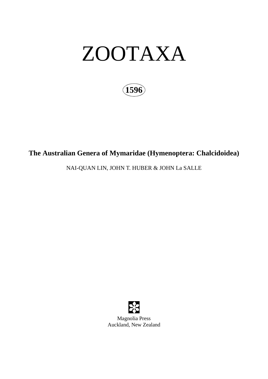

**1596**

# **The Australian Genera of Mymaridae (Hymenoptera: Chalcidoidea)**

NAI-QUAN LIN, JOHN T. HUBER & JOHN La SALLE

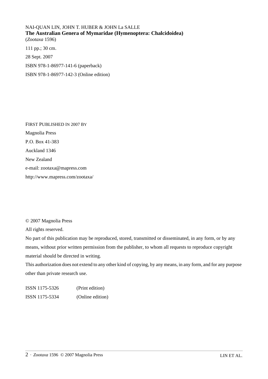NAI-QUAN LIN, JOHN T. HUBER & JOHN La SALLE **The Australian Genera of Mymaridae (Hymenoptera: Chalcidoidea)** (*Zootaxa* 1596) 111 pp.; 30 cm. 28 Sept. 2007

ISBN 978-1-86977-141-6 (paperback)

ISBN 978-1-86977-142-3 (Online edition)

FIRST PUBLISHED IN 2007 BY Magnolia Press P.O. Box 41-383 Auckland 1346 New Zealand e-mail: zootaxa@mapress.com http://www.mapress.com/zootaxa/

© 2007 Magnolia Press

All rights reserved.

No part of this publication may be reproduced, stored, transmitted or disseminated, in any form, or by any means, without prior written permission from the publisher, to whom all requests to reproduce copyright material should be directed in writing.

This authorization does not extend to any other kind of copying, by any means, in any form, and for any purpose other than private research use.

ISSN 1175-5326 (Print edition) ISSN 1175-5334 (Online edition)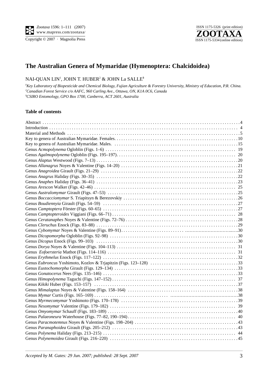Copyright  $\odot$  2007 · Magnolia Press



# **The Australian Genera of Mymaridae (Hymenoptera: Chalcidoidea)**

### NAI-QUAN LIN1 , JOHN T. HUBER2 & JOHN La SALLE**<sup>3</sup>**

*1 Key Laboratory of Biopesticide and Chemical Biology, Fujian Agriculture & Forestry University, Ministry of Education, P.R. China. 2 Canadian Forest Service c/o AAFC, 960 Carling Ave., Ottawa, ON, K1A 0C6, Canada* **3** *CSIRO Entomology, GPO Box 1700, Canberra, ACT 2601, Australia*

#### **Table of contents**